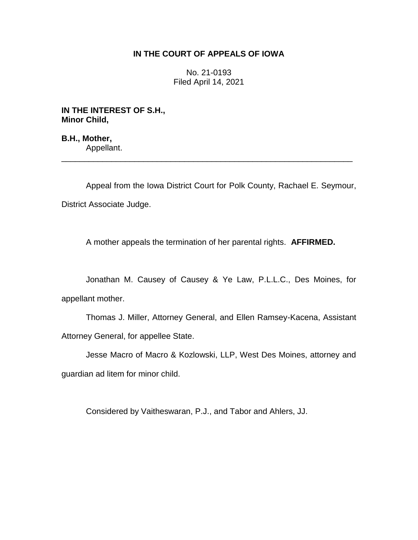## **IN THE COURT OF APPEALS OF IOWA**

No. 21-0193 Filed April 14, 2021

**IN THE INTEREST OF S.H., Minor Child,**

**B.H., Mother,** Appellant.

Appeal from the Iowa District Court for Polk County, Rachael E. Seymour, District Associate Judge.

\_\_\_\_\_\_\_\_\_\_\_\_\_\_\_\_\_\_\_\_\_\_\_\_\_\_\_\_\_\_\_\_\_\_\_\_\_\_\_\_\_\_\_\_\_\_\_\_\_\_\_\_\_\_\_\_\_\_\_\_\_\_\_\_

A mother appeals the termination of her parental rights. **AFFIRMED.**

Jonathan M. Causey of Causey & Ye Law, P.L.L.C., Des Moines, for appellant mother.

Thomas J. Miller, Attorney General, and Ellen Ramsey-Kacena, Assistant Attorney General, for appellee State.

Jesse Macro of Macro & Kozlowski, LLP, West Des Moines, attorney and guardian ad litem for minor child.

Considered by Vaitheswaran, P.J., and Tabor and Ahlers, JJ.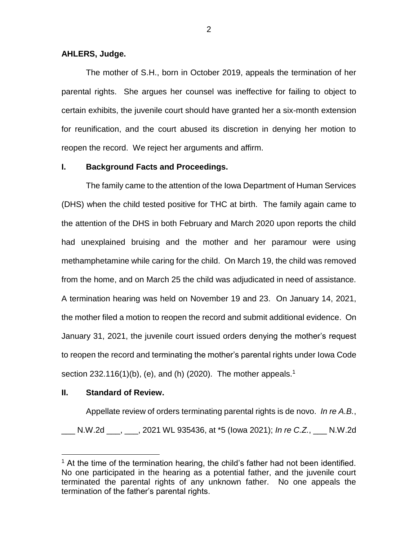## **AHLERS, Judge.**

The mother of S.H., born in October 2019, appeals the termination of her parental rights. She argues her counsel was ineffective for failing to object to certain exhibits, the juvenile court should have granted her a six-month extension for reunification, and the court abused its discretion in denying her motion to reopen the record. We reject her arguments and affirm.

## **I. Background Facts and Proceedings.**

The family came to the attention of the Iowa Department of Human Services (DHS) when the child tested positive for THC at birth. The family again came to the attention of the DHS in both February and March 2020 upon reports the child had unexplained bruising and the mother and her paramour were using methamphetamine while caring for the child. On March 19, the child was removed from the home, and on March 25 the child was adjudicated in need of assistance. A termination hearing was held on November 19 and 23. On January 14, 2021, the mother filed a motion to reopen the record and submit additional evidence. On January 31, 2021, the juvenile court issued orders denying the mother's request to reopen the record and terminating the mother's parental rights under Iowa Code section 232.116(1)(b), (e), and (h) (2020). The mother appeals.<sup>1</sup>

## **II. Standard of Review.**

 $\overline{a}$ 

Appellate review of orders terminating parental rights is de novo. *In re A.B.*, \_\_\_ N.W.2d \_\_\_, \_\_\_, 2021 WL 935436, at \*5 (Iowa 2021); *In re C.Z.*, \_\_\_ N.W.2d

 $<sup>1</sup>$  At the time of the termination hearing, the child's father had not been identified.</sup> No one participated in the hearing as a potential father, and the juvenile court terminated the parental rights of any unknown father. No one appeals the termination of the father's parental rights.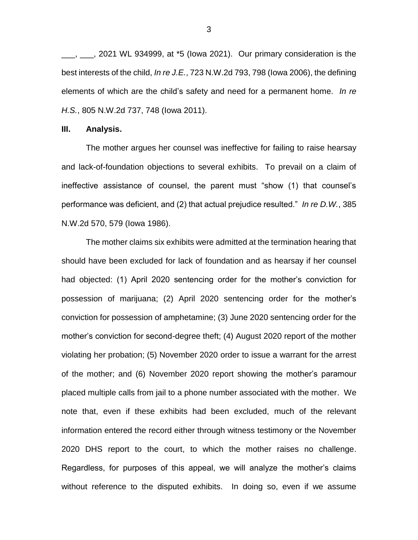\_\_\_, \_\_\_, 2021 WL 934999, at \*5 (Iowa 2021). Our primary consideration is the best interests of the child, *In re J.E.*, 723 N.W.2d 793, 798 (Iowa 2006), the defining elements of which are the child's safety and need for a permanent home. *In re H.S.*, 805 N.W.2d 737, 748 (Iowa 2011).

#### **III. Analysis.**

The mother argues her counsel was ineffective for failing to raise hearsay and lack-of-foundation objections to several exhibits. To prevail on a claim of ineffective assistance of counsel, the parent must "show (1) that counsel's performance was deficient, and (2) that actual prejudice resulted." *In re D.W.*, 385 N.W.2d 570, 579 (Iowa 1986).

The mother claims six exhibits were admitted at the termination hearing that should have been excluded for lack of foundation and as hearsay if her counsel had objected: (1) April 2020 sentencing order for the mother's conviction for possession of marijuana; (2) April 2020 sentencing order for the mother's conviction for possession of amphetamine; (3) June 2020 sentencing order for the mother's conviction for second-degree theft; (4) August 2020 report of the mother violating her probation; (5) November 2020 order to issue a warrant for the arrest of the mother; and (6) November 2020 report showing the mother's paramour placed multiple calls from jail to a phone number associated with the mother. We note that, even if these exhibits had been excluded, much of the relevant information entered the record either through witness testimony or the November 2020 DHS report to the court, to which the mother raises no challenge. Regardless, for purposes of this appeal, we will analyze the mother's claims without reference to the disputed exhibits. In doing so, even if we assume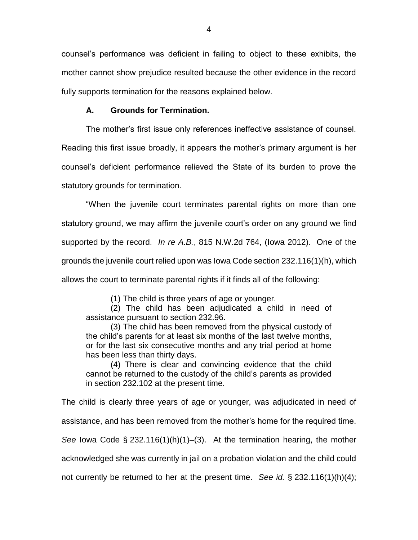counsel's performance was deficient in failing to object to these exhibits, the mother cannot show prejudice resulted because the other evidence in the record fully supports termination for the reasons explained below.

# **A. Grounds for Termination.**

The mother's first issue only references ineffective assistance of counsel.

Reading this first issue broadly, it appears the mother's primary argument is her counsel's deficient performance relieved the State of its burden to prove the statutory grounds for termination.

"When the juvenile court terminates parental rights on more than one statutory ground, we may affirm the juvenile court's order on any ground we find supported by the record. *In re A.B.*, 815 N.W.2d 764, (Iowa 2012). One of the grounds the juvenile court relied upon was Iowa Code section 232.116(1)(h), which allows the court to terminate parental rights if it finds all of the following:

(1) The child is three years of age or younger.

(2) The child has been adjudicated a child in need of assistance pursuant to section 232.96.

(3) The child has been removed from the physical custody of the child's parents for at least six months of the last twelve months, or for the last six consecutive months and any trial period at home has been less than thirty days.

(4) There is clear and convincing evidence that the child cannot be returned to the custody of the child's parents as provided in section 232.102 at the present time.

The child is clearly three years of age or younger, was adjudicated in need of assistance, and has been removed from the mother's home for the required time. *See* Iowa Code § 232.116(1)(h)(1)–(3). At the termination hearing, the mother acknowledged she was currently in jail on a probation violation and the child could not currently be returned to her at the present time. *See id.* § 232.116(1)(h)(4);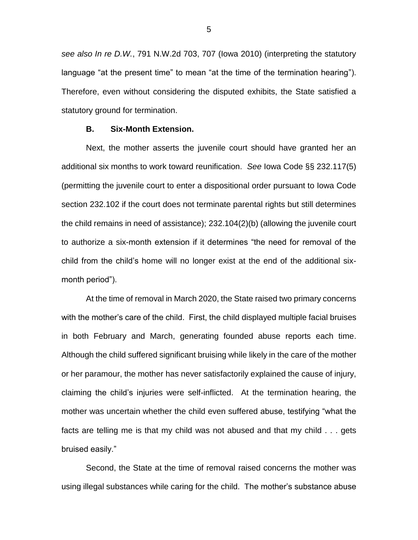*see also In re D.W.*, 791 N.W.2d 703, 707 (Iowa 2010) (interpreting the statutory language "at the present time" to mean "at the time of the termination hearing"). Therefore, even without considering the disputed exhibits, the State satisfied a statutory ground for termination.

### **B. Six-Month Extension.**

Next, the mother asserts the juvenile court should have granted her an additional six months to work toward reunification. *See* Iowa Code §§ 232.117(5) (permitting the juvenile court to enter a dispositional order pursuant to Iowa Code section 232.102 if the court does not terminate parental rights but still determines the child remains in need of assistance); 232.104(2)(b) (allowing the juvenile court to authorize a six-month extension if it determines "the need for removal of the child from the child's home will no longer exist at the end of the additional sixmonth period").

At the time of removal in March 2020, the State raised two primary concerns with the mother's care of the child. First, the child displayed multiple facial bruises in both February and March, generating founded abuse reports each time. Although the child suffered significant bruising while likely in the care of the mother or her paramour, the mother has never satisfactorily explained the cause of injury, claiming the child's injuries were self-inflicted. At the termination hearing, the mother was uncertain whether the child even suffered abuse, testifying "what the facts are telling me is that my child was not abused and that my child . . . gets bruised easily."

Second, the State at the time of removal raised concerns the mother was using illegal substances while caring for the child. The mother's substance abuse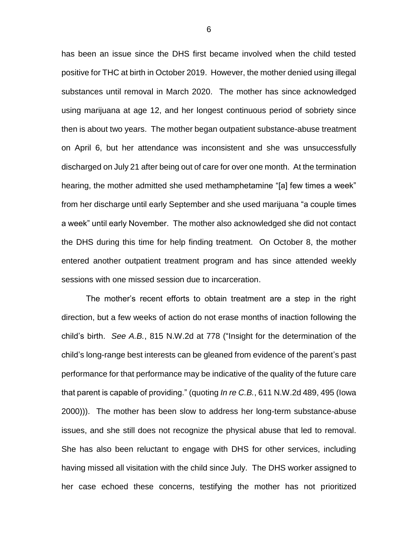has been an issue since the DHS first became involved when the child tested positive for THC at birth in October 2019. However, the mother denied using illegal substances until removal in March 2020. The mother has since acknowledged using marijuana at age 12, and her longest continuous period of sobriety since then is about two years. The mother began outpatient substance-abuse treatment on April 6, but her attendance was inconsistent and she was unsuccessfully discharged on July 21 after being out of care for over one month. At the termination hearing, the mother admitted she used methamphetamine "[a] few times a week" from her discharge until early September and she used marijuana "a couple times a week" until early November. The mother also acknowledged she did not contact the DHS during this time for help finding treatment. On October 8, the mother entered another outpatient treatment program and has since attended weekly sessions with one missed session due to incarceration.

The mother's recent efforts to obtain treatment are a step in the right direction, but a few weeks of action do not erase months of inaction following the child's birth. *See A.B.*, 815 N.W.2d at 778 ("Insight for the determination of the child's long-range best interests can be gleaned from evidence of the parent's past performance for that performance may be indicative of the quality of the future care that parent is capable of providing." (quoting *In re C.B.*, 611 N.W.2d 489, 495 (Iowa 2000))). The mother has been slow to address her long-term substance-abuse issues, and she still does not recognize the physical abuse that led to removal. She has also been reluctant to engage with DHS for other services, including having missed all visitation with the child since July. The DHS worker assigned to her case echoed these concerns, testifying the mother has not prioritized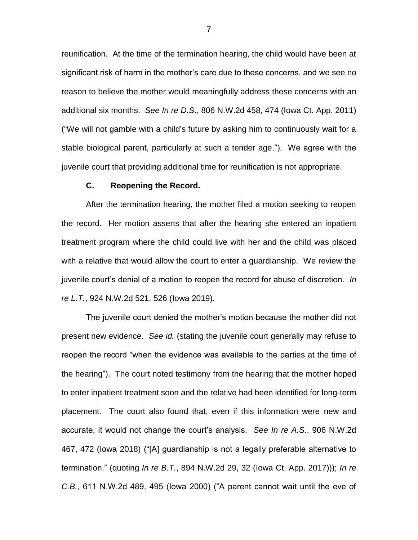reunification. At the time of the termination hearing, the child would have been at significant risk of harm in the mother's care due to these concerns, and we see no reason to believe the mother would meaningfully address these concerns with an additional six months. *See In re D.S*., 806 N.W.2d 458, 474 (Iowa Ct. App. 2011) ("We will not gamble with a child's future by asking him to continuously wait for a stable biological parent, particularly at such a tender age."). We agree with the juvenile court that providing additional time for reunification is not appropriate.

### **C. Reopening the Record.**

After the termination hearing, the mother filed a motion seeking to reopen the record. Her motion asserts that after the hearing she entered an inpatient treatment program where the child could live with her and the child was placed with a relative that would allow the court to enter a guardianship. We review the juvenile court's denial of a motion to reopen the record for abuse of discretion. *In re L.T.*, 924 N.W.2d 521, 526 (Iowa 2019).

The juvenile court denied the mother's motion because the mother did not present new evidence. *See id.* (stating the juvenile court generally may refuse to reopen the record "when the evidence was available to the parties at the time of the hearing"). The court noted testimony from the hearing that the mother hoped to enter inpatient treatment soon and the relative had been identified for long-term placement. The court also found that, even if this information were new and accurate, it would not change the court's analysis. *See In re A.S.*, 906 N.W.2d 467, 472 (Iowa 2018) ("[A] guardianship is not a legally preferable alternative to termination." (quoting *In re B.T.*, 894 N.W.2d 29, 32 (Iowa Ct. App. 2017))); *In re C.B.*, 611 N.W.2d 489, 495 (Iowa 2000) ("A parent cannot wait until the eve of